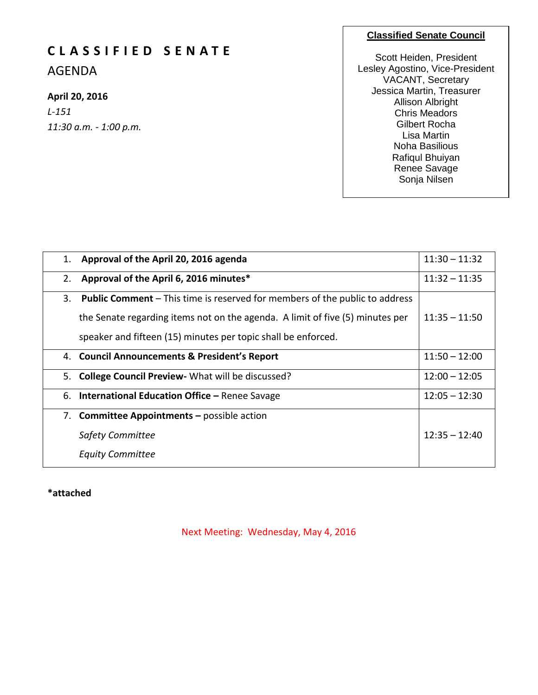# **C L A S S I F I E D S E N A T E**

AGENDA

## **April 20, 2016**

*L-151 11:30 a.m. - 1:00 p.m.*

#### **Classified Senate Council**

Scott Heiden, President Lesley Agostino, Vice-President VACANT, Secretary Jessica Martin, Treasurer Allison Albright Chris Meadors Gilbert Rocha Lisa Martin Noha Basilious Rafiqul Bhuiyan Renee Savage Sonja Nilsen

| 1. | Approval of the April 20, 2016 agenda                                              | $11:30 - 11:32$ |
|----|------------------------------------------------------------------------------------|-----------------|
| 2. | Approval of the April 6, 2016 minutes*                                             | $11:32 - 11:35$ |
| 3. | <b>Public Comment</b> – This time is reserved for members of the public to address |                 |
|    | the Senate regarding items not on the agenda. A limit of five (5) minutes per      | $11:35 - 11:50$ |
|    | speaker and fifteen (15) minutes per topic shall be enforced.                      |                 |
|    | 4. Council Announcements & President's Report                                      | $11:50 - 12:00$ |
|    | 5. College Council Preview - What will be discussed?                               | $12:00 - 12:05$ |
|    | 6. International Education Office - Renee Savage                                   | $12:05 - 12:30$ |
|    | 7. Committee Appointments - possible action                                        |                 |
|    | <b>Safety Committee</b>                                                            | $12:35 - 12:40$ |
|    | <b>Equity Committee</b>                                                            |                 |

**\*attached**

Next Meeting: Wednesday, May 4, 2016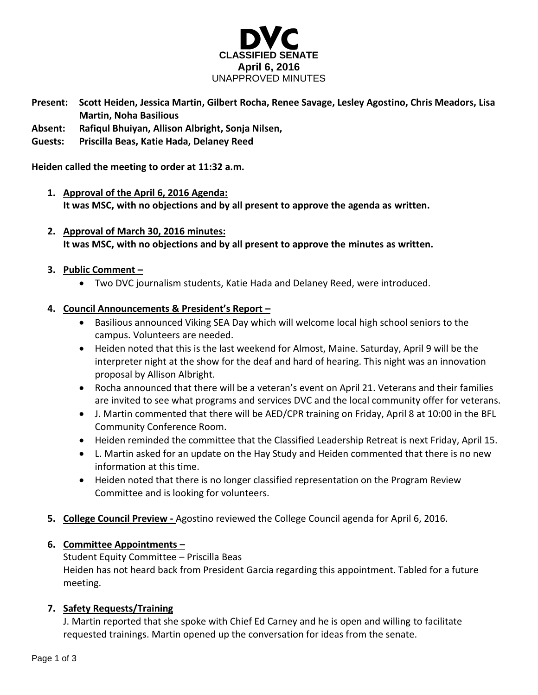

- **Present: Scott Heiden, Jessica Martin, Gilbert Rocha, Renee Savage, Lesley Agostino, Chris Meadors, Lisa Martin, Noha Basilious**
- **Absent: Rafiqul Bhuiyan, Allison Albright, Sonja Nilsen,**
- **Guests: Priscilla Beas, Katie Hada, Delaney Reed**

**Heiden called the meeting to order at 11:32 a.m.**

- **1. Approval of the April 6, 2016 Agenda: It was MSC, with no objections and by all present to approve the agenda as written.**
- **2. Approval of March 30, 2016 minutes: It was MSC, with no objections and by all present to approve the minutes as written.**

#### **3. Public Comment –**

Two DVC journalism students, Katie Hada and Delaney Reed, were introduced.

#### **4. Council Announcements & President's Report –**

- Basilious announced Viking SEA Day which will welcome local high school seniors to the campus. Volunteers are needed.
- Heiden noted that this is the last weekend for Almost, Maine. Saturday, April 9 will be the interpreter night at the show for the deaf and hard of hearing. This night was an innovation proposal by Allison Albright.
- Rocha announced that there will be a veteran's event on April 21. Veterans and their families are invited to see what programs and services DVC and the local community offer for veterans.
- J. Martin commented that there will be AED/CPR training on Friday, April 8 at 10:00 in the BFL Community Conference Room.
- Heiden reminded the committee that the Classified Leadership Retreat is next Friday, April 15.
- L. Martin asked for an update on the Hay Study and Heiden commented that there is no new information at this time.
- Heiden noted that there is no longer classified representation on the Program Review Committee and is looking for volunteers.
- **5. College Council Preview -** Agostino reviewed the College Council agenda for April 6, 2016.

#### **6. Committee Appointments –**

Student Equity Committee – Priscilla Beas Heiden has not heard back from President Garcia regarding this appointment. Tabled for a future meeting.

#### **7. Safety Requests/Training**

J. Martin reported that she spoke with Chief Ed Carney and he is open and willing to facilitate requested trainings. Martin opened up the conversation for ideas from the senate.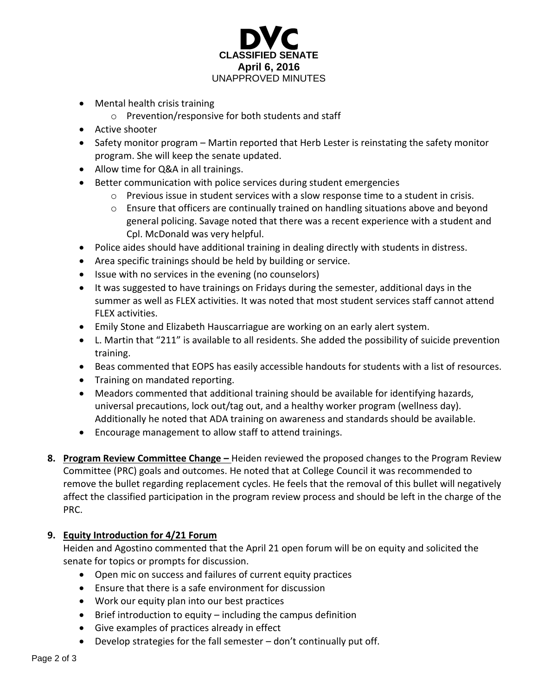

- Mental health crisis training
	- o Prevention/responsive for both students and staff
- Active shooter
- Safety monitor program Martin reported that Herb Lester is reinstating the safety monitor program. She will keep the senate updated.
- Allow time for Q&A in all trainings.
- Better communication with police services during student emergencies
	- $\circ$  Previous issue in student services with a slow response time to a student in crisis.
	- $\circ$  Ensure that officers are continually trained on handling situations above and beyond general policing. Savage noted that there was a recent experience with a student and Cpl. McDonald was very helpful.
- Police aides should have additional training in dealing directly with students in distress.
- Area specific trainings should be held by building or service.
- Issue with no services in the evening (no counselors)
- It was suggested to have trainings on Fridays during the semester, additional days in the summer as well as FLEX activities. It was noted that most student services staff cannot attend FLEX activities.
- Emily Stone and Elizabeth Hauscarriague are working on an early alert system.
- L. Martin that "211" is available to all residents. She added the possibility of suicide prevention training.
- Beas commented that EOPS has easily accessible handouts for students with a list of resources.
- Training on mandated reporting.
- Meadors commented that additional training should be available for identifying hazards, universal precautions, lock out/tag out, and a healthy worker program (wellness day). Additionally he noted that ADA training on awareness and standards should be available.
- Encourage management to allow staff to attend trainings.
- **8. Program Review Committee Change –** Heiden reviewed the proposed changes to the Program Review Committee (PRC) goals and outcomes. He noted that at College Council it was recommended to remove the bullet regarding replacement cycles. He feels that the removal of this bullet will negatively affect the classified participation in the program review process and should be left in the charge of the PRC.

### **9. Equity Introduction for 4/21 Forum**

Heiden and Agostino commented that the April 21 open forum will be on equity and solicited the senate for topics or prompts for discussion.

- Open mic on success and failures of current equity practices
- Ensure that there is a safe environment for discussion
- Work our equity plan into our best practices
- $\bullet$  Brief introduction to equity including the campus definition
- Give examples of practices already in effect
- Develop strategies for the fall semester don't continually put off.